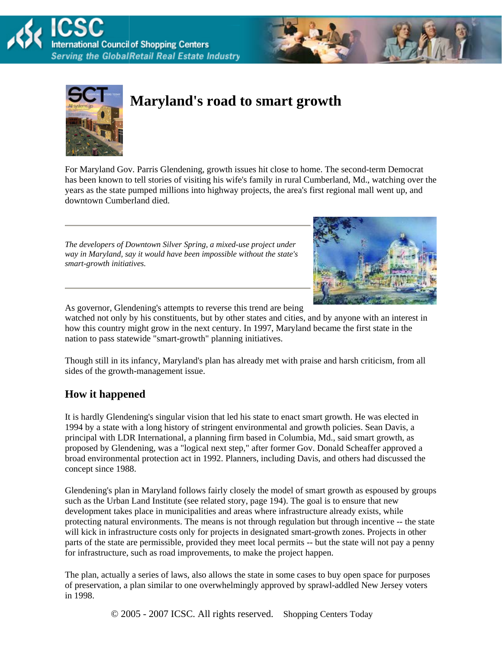



# **Maryland's road to smart growth**

For Maryland Gov. Parris Glendening, growth issues hit close to home. The second-term Democrat has been known to tell stories of visiting his wife's family in rural Cumberland, Md., watching over the years as the state pumped millions into highway projects, the area's first regional mall went up, and downtown Cumberland died.

*The developers of Downtown Silver Spring, a mixed-use project under way in Maryland, say it would have been impossible without the state's smart-growth initiatives.*



As governor, Glendening's attempts to reverse this trend are being

watched not only by his constituents, but by other states and cities, and by anyone with an interest in how this country might grow in the next century. In 1997, Maryland became the first state in the nation to pass statewide "smart-growth" planning initiatives.

Though still in its infancy, Maryland's plan has already met with praise and harsh criticism, from all sides of the growth-management issue.

# **How it happened**

It is hardly Glendening's singular vision that led his state to enact smart growth. He was elected in 1994 by a state with a long history of stringent environmental and growth policies. Sean Davis, a principal with LDR International, a planning firm based in Columbia, Md., said smart growth, as proposed by Glendening, was a "logical next step," after former Gov. Donald Scheaffer approved a broad environmental protection act in 1992. Planners, including Davis, and others had discussed the concept since 1988.

Glendening's plan in Maryland follows fairly closely the model of smart growth as espoused by groups such as the Urban Land Institute (see related story, page 194). The goal is to ensure that new development takes place in municipalities and areas where infrastructure already exists, while protecting natural environments. The means is not through regulation but through incentive -- the state will kick in infrastructure costs only for projects in designated smart-growth zones. Projects in other parts of the state are permissible, provided they meet local permits -- but the state will not pay a penny for infrastructure, such as road improvements, to make the project happen.

The plan, actually a series of laws, also allows the state in some cases to buy open space for purposes of preservation, a plan similar to one overwhelmingly approved by sprawl-addled New Jersey voters in 1998.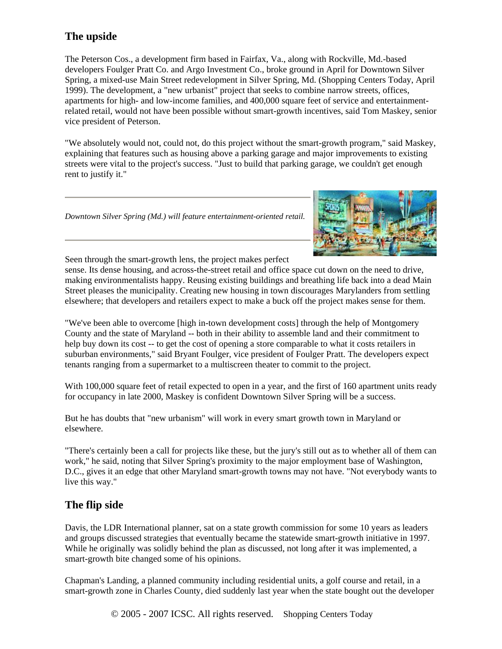# **The upside**

The Peterson Cos., a development firm based in Fairfax, Va., along with Rockville, Md.-based developers Foulger Pratt Co. and Argo Investment Co., broke ground in April for Downtown Silver Spring, a mixed-use Main Street redevelopment in Silver Spring, Md. (Shopping Centers Today, April 1999). The development, a "new urbanist" project that seeks to combine narrow streets, offices, apartments for high- and low-income families, and 400,000 square feet of service and entertainmentrelated retail, would not have been possible without smart-growth incentives, said Tom Maskey, senior vice president of Peterson.

"We absolutely would not, could not, do this project without the smart-growth program," said Maskey, explaining that features such as housing above a parking garage and major improvements to existing streets were vital to the project's success. "Just to build that parking garage, we couldn't get enough rent to justify it."

*Downtown Silver Spring (Md.) will feature entertainment-oriented retail.*



Seen through the smart-growth lens, the project makes perfect

sense. Its dense housing, and across-the-street retail and office space cut down on the need to drive, making environmentalists happy. Reusing existing buildings and breathing life back into a dead Main Street pleases the municipality. Creating new housing in town discourages Marylanders from settling elsewhere; that developers and retailers expect to make a buck off the project makes sense for them.

"We've been able to overcome [high in-town development costs] through the help of Montgomery County and the state of Maryland -- both in their ability to assemble land and their commitment to help buy down its cost -- to get the cost of opening a store comparable to what it costs retailers in suburban environments," said Bryant Foulger, vice president of Foulger Pratt. The developers expect tenants ranging from a supermarket to a multiscreen theater to commit to the project.

With 100,000 square feet of retail expected to open in a year, and the first of 160 apartment units ready for occupancy in late 2000, Maskey is confident Downtown Silver Spring will be a success.

But he has doubts that "new urbanism" will work in every smart growth town in Maryland or elsewhere.

"There's certainly been a call for projects like these, but the jury's still out as to whether all of them can work," he said, noting that Silver Spring's proximity to the major employment base of Washington, D.C., gives it an edge that other Maryland smart-growth towns may not have. "Not everybody wants to live this way."

# **The flip side**

Davis, the LDR International planner, sat on a state growth commission for some 10 years as leaders and groups discussed strategies that eventually became the statewide smart-growth initiative in 1997. While he originally was solidly behind the plan as discussed, not long after it was implemented, a smart-growth bite changed some of his opinions.

Chapman's Landing, a planned community including residential units, a golf course and retail, in a smart-growth zone in Charles County, died suddenly last year when the state bought out the developer